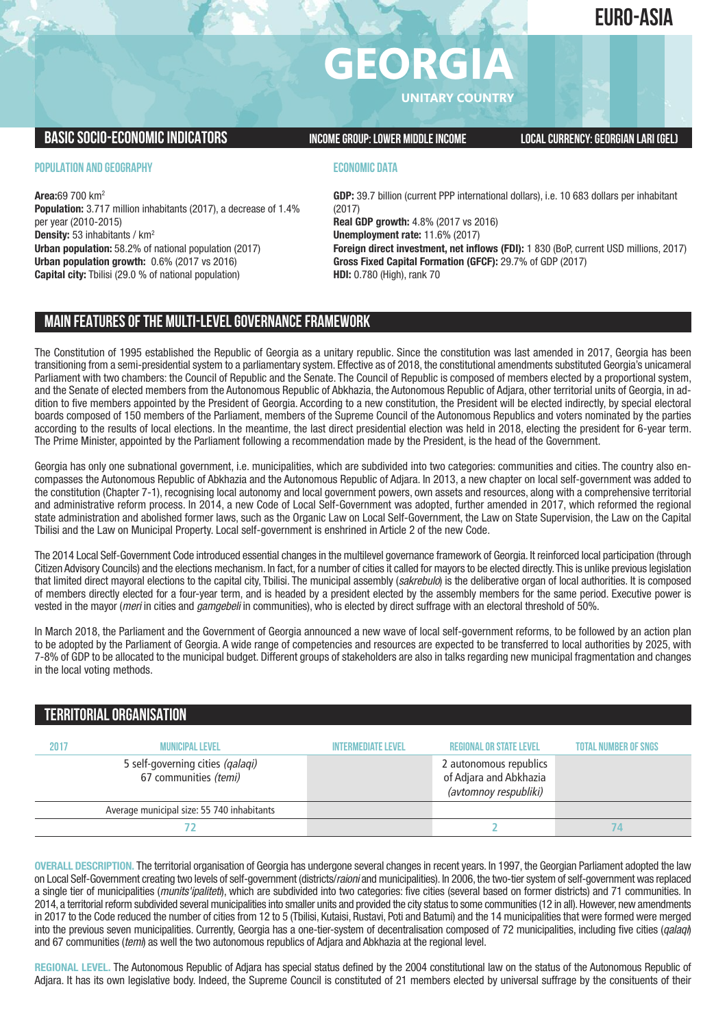### **EURO-ASIA**

# **GEORGI**

**UNITARY COUNTRY**

#### **BASICSOCIO-ECONOMICINDICATORS INCOMEGROUP:LOWER MIDDLEINCOME LOCALCURRENCY:GEORGIAN LARI (GEL)**

#### **POPULATION AND GEOGRAPHY**

**Area:**69 700 km2 **Population:** 3.717 million inhabitants (2017), a decrease of 1.4% per year (2010-2015) **Density:** 53 inhabitants / km2 **Urban population:** 58.2% of national population (2017) **Urban population growth:** 0.6% (2017 vs 2016) **Capital city:** Tbilisi (29.0 % of national population)

#### **ECONOMIC DATA**

**GDP:** 39.7 billion (current PPP international dollars), i.e. 10 683 dollars per inhabitant (2017) **Real GDP growth:** 4.8% (2017 vs 2016) **Unemployment rate:** 11.6% (2017) **Foreign direct investment, net inflows (FDI):** 1 830 (BoP, current USD millions, 2017) **Gross Fixed Capital Formation (GFCF):** 29.7% of GDP (2017) **HDI:** 0.780 (High), rank 70

#### **MAIN FEATURESOFTHE MULTI-LEVELGOVERNANCEFRAMEWORK**

The Constitution of 1995 established the Republic of Georgia as a unitary republic. Since the constitution was last amended in 2017, Georgia has been transitioning from a semi-presidential system to a parliamentary system. Effective as of 2018, the constitutional amendments substituted Georgia's unicameral Parliament with two chambers: the Council of Republic and the Senate. The Council of Republic is composed of members elected by a proportional system, and the Senate of elected members from the Autonomous Republic of Abkhazia, the Autonomous Republic of Adjara, other territorial units of Georgia, in addition to five members appointed by the President of Georgia. According to a new constitution, the President will be elected indirectly, by special electoral boards composed of 150 members of the Parliament, members of the Supreme Council of the Autonomous Republics and voters nominated by the parties according to the results of local elections. In the meantime, the last direct presidential election was held in 2018, electing the president for 6-year term. The Prime Minister, appointed by the Parliament following a recommendation made by the President, is the head of the Government.

Georgia has only one subnational government, i.e. municipalities, which are subdivided into two categories: communities and cities. The country also encompasses the Autonomous Republic of Abkhazia and the Autonomous Republic of Adjara. In 2013, a new chapter on local self-government was added to the constitution (Chapter 7-1), recognising local autonomy and local government powers, own assets and resources, along with a comprehensive territorial and administrative reform process. In 2014, a new Code of Local Self-Government was adopted, further amended in 2017, which reformed the regional state administration and abolished former laws, such as the Organic Law on Local Self-Government, the Law on State Supervision, the Law on the Capital Tbilisi and the Law on Municipal Property. Local self-government is enshrined in Article 2 of the new Code.

The 2014 Local Self-Government Code introduced essential changes in the multilevel governance framework of Georgia. It reinforced local participation (through Citizen Advisory Councils) and the elections mechanism. In fact, for a number of cities it called for mayors to be elected directly.This is unlike previous legislation that limited direct mayoral elections to the capital city, Tbilisi. The municipal assembly (*sakrebulo*) is the deliberative organ of local authorities. It is composed of members directly elected for a four-year term, and is headed by a president elected by the assembly members for the same period. Executive power is vested in the mayor (*meri* in cities and *gamgebeli* in communities), who is elected by direct suffrage with an electoral threshold of 50%.

In March 2018, the Parliament and the Government of Georgia announced a new wave of local self-government reforms, to be followed by an action plan to be adopted by the Parliament of Georgia. A wide range of competencies and resources are expected to be transferred to local authorities by 2025, with 7-8% of GDP to be allocated to the municipal budget. Different groups of stakeholders are also in talks regarding new municipal fragmentation and changes in the local voting methods.

#### **TERRITORIALORGANISATION**

| 2017 | <b>MUNICIPAL LEVEL</b>                                    | <b>INTERMEDIATE LEVEL</b> | <b>REGIONAL OR STATE LEVEL</b>                                            | <b>TOTAL NUMBER OF SNGS</b> |
|------|-----------------------------------------------------------|---------------------------|---------------------------------------------------------------------------|-----------------------------|
|      | 5 self-governing cities (qalaqi)<br>67 communities (temi) |                           | 2 autonomous republics<br>of Adjara and Abkhazia<br>(avtomnoy respubliki) |                             |
|      | Average municipal size: 55 740 inhabitants                |                           |                                                                           |                             |
|      |                                                           |                           |                                                                           |                             |

**OVERALL DESCRIPTION.** The territorial organisation of Georgia has undergone several changes in recent years. In 1997, the Georgian Parliament adopted the law on Local Self-Government creating two levels of self-government (districts/*raioni* and municipalities). In 2006, the two-tier system of self-government was replaced a single tier of municipalities (*munits'ipaliteti*), which are subdivided into two categories: five cities (several based on former districts) and 71 communities. In 2014, a territorial reform subdivided several municipalities into smaller units and provided the city status to some communities (12 in all).However, new amendments in 2017 to the Code reduced the number of cities from 12 to 5 (Tbilisi, Kutaisi, Rustavi, Poti and Batumi) and the 14 municipalities that were formed were merged into the previous seven municipalities. Currently, Georgia has a one-tier-system of decentralisation composed of 72 municipalities, including five cities (*qalaqi*) and 67 communities (*temi*) as well the two autonomous republics of Adjara and Abkhazia at the regional level.

**REGIONAL LEVEL.** The Autonomous Republic of Adjara has special status defined by the 2004 constitutional law on the status of the Autonomous Republic of Adjara. It has its own legislative body. Indeed, the Supreme Council is constituted of 21 members elected by universal suffrage by the consituents of their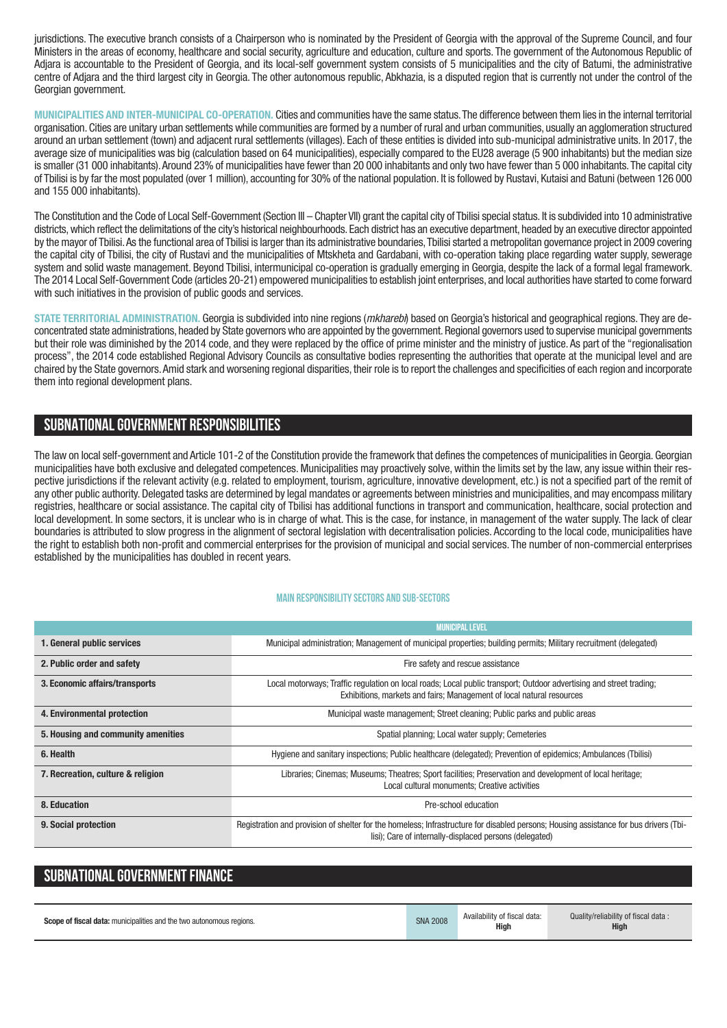jurisdictions. The executive branch consists of a Chairperson who is nominated by the President of Georgia with the approval of the Supreme Council, and four Ministers in the areas of economy, healthcare and social security, agriculture and education, culture and sports. The government of the Autonomous Republic of Adjara is accountable to the President of Georgia, and its local-self government system consists of 5 municipalities and the city of Batumi, the administrative centre of Adjara and the third largest city in Georgia. The other autonomous republic, Abkhazia, is a disputed region that is currently not under the control of the Georgian government.

**MUNICIPALITIES AND INTER-MUNICIPAL CO-OPERATION.** Cities and communities have the same status.The difference between them lies in the internal territorial organisation. Cities are unitary urban settlements while communities are formed by a number of rural and urban communities, usually an agglomeration structured around an urban settlement (town) and adjacent rural settlements (villages). Each of these entities is divided into sub-municipal administrative units. In 2017, the average size of municipalities was big (calculation based on 64 municipalities), especially compared to the EU28 average (5 900 inhabitants) but the median size is smaller (31 000 inhabitants). Around 23% of municipalities have fewer than 20 000 inhabitants and only two have fewer than 5 000 inhabitants. The capital city of Tbilisi is by far the most populated (over 1 million), accounting for 30% of the national population. It is followed by Rustavi, Kutaisi and Batuni (between 126 000 and 155 000 inhabitants).

The Constitution and the Code of Local Self-Government (Section III – Chapter VII) grant the capital city of Tbilisi special status. It is subdivided into 10 administrative districts,which reflect the delimitations of the city's historical neighbourhoods. Each district has an executive department, headed by an executive director appointed by the mayor of Tbilisi.As the functional area of Tbilisi is larger than its administrative boundaries,Tbilisi started a metropolitan governance project in 2009 covering the capital city of Tbilisi, the city of Rustavi and the municipalities of Mtskheta and Gardabani, with co-operation taking place regarding water supply, sewerage system and solid waste management. Beyond Tbilisi, intermunicipal co-operation is gradually emerging in Georgia, despite the lack of a formal legal framework. The 2014 Local Self-Government Code (articles 20-21) empowered municipalities to establish joint enterprises, and local authorities have started to come forward with such initiatives in the provision of public goods and services.

**STATE TERRITORIAL ADMINISTRATION.** Georgia is subdivided into nine regions (*mkharebi*) based on Georgia's historical and geographical regions. They are deconcentrated state administrations, headed by State governors who are appointed by the government. Regional governors used to supervise municipal governments but their role was diminished by the 2014 code, and they were replaced by the office of prime minister and the ministry of justice. As part of the "regionalisation process", the 2014 code established Regional Advisory Councils as consultative bodies representing the authorities that operate at the municipal level and are chaired by the State governors.Amid stark and worsening regional disparities, their role is to report the challenges and specificities of each region and incorporate them into regional development plans.

#### **SUBNATIONALGOVERNMENT RESPONSIBILITIES**

The law on local self-government and Article 101-2 of the Constitution provide the framework that defines the competences of municipalities in Georgia. Georgian municipalities have both exclusive and delegated competences. Municipalities may proactively solve, within the limits set by the law, any issue within their respective jurisdictions if the relevant activity (e.g. related to employment, tourism, agriculture, innovative development, etc.) is not a specified part of the remit of any other public authority. Delegated tasks are determined by legal mandates or agreements between ministries and municipalities, and may encompass military registries, healthcare or social assistance. The capital city of Tbilisi has additional functions in transport and communication, healthcare, social protection and local development. In some sectors, it is unclear who is in charge of what. This is the case, for instance, in management of the water supply. The lack of clear boundaries is attributed to slow progress in the alignment of sectoral legislation with decentralisation policies. According to the local code, municipalities have the right to establish both non-profit and commercial enterprises for the provision of municipal and social services. The number of non-commercial enterprises established by the municipalities has doubled in recent years.

#### **Main responsibilitysectors and sub-sectors**

|                                    | <b>MUNICIPAL LEVEL</b>                                                                                                                                                                           |
|------------------------------------|--------------------------------------------------------------------------------------------------------------------------------------------------------------------------------------------------|
| 1. General public services         | Municipal administration; Management of municipal properties; building permits; Military recruitment (delegated)                                                                                 |
| 2. Public order and safety         | Fire safety and rescue assistance                                                                                                                                                                |
| 3. Economic affairs/transports     | Local motorways; Traffic regulation on local roads; Local public transport; Outdoor advertising and street trading;<br>Exhibitions, markets and fairs; Management of local natural resources     |
| 4. Environmental protection        | Municipal waste management; Street cleaning; Public parks and public areas                                                                                                                       |
| 5. Housing and community amenities | Spatial planning; Local water supply; Cemeteries                                                                                                                                                 |
| 6. Health                          | Hygiene and sanitary inspections; Public healthcare (delegated); Prevention of epidemics; Ambulances (Tbilisi)                                                                                   |
| 7. Recreation, culture & religion  | Libraries; Cinemas; Museums; Theatres; Sport facilities; Preservation and development of local heritage;<br>Local cultural monuments; Creative activities                                        |
| 8. Education                       | Pre-school education                                                                                                                                                                             |
| 9. Social protection               | Registration and provision of shelter for the homeless; Infrastructure for disabled persons; Housing assistance for bus drivers (Tbi-<br>lisi); Care of internally-displaced persons (delegated) |

#### **SUBNATIONAL GOVERNMENT FINANCE**

| <b>Scope of fiscal data:</b> municipalities and the two autonomous regions. | <b>SNA 2008</b> | Availability of fiscal data:<br><b>High</b> | Quality/reliability of fiscal data:<br><b>High</b> |
|-----------------------------------------------------------------------------|-----------------|---------------------------------------------|----------------------------------------------------|
|-----------------------------------------------------------------------------|-----------------|---------------------------------------------|----------------------------------------------------|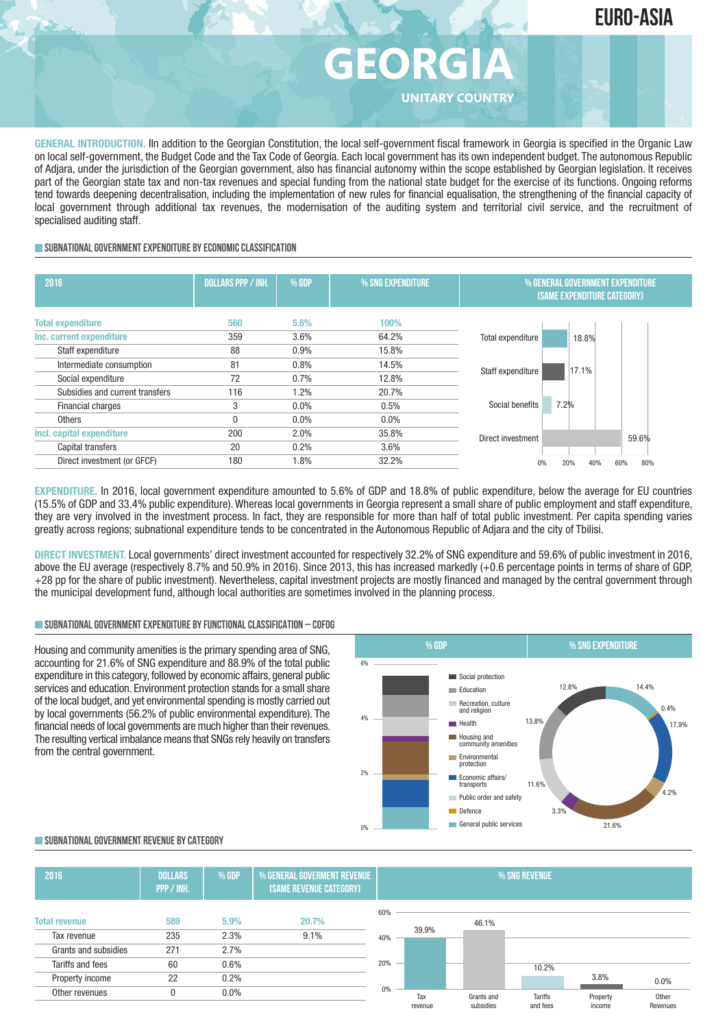

## **GEORGI UNITARY COUNTRY**

**GENERAL INTRODUCTION.** IIn addition to the Georgian Constitution, the local self-government fiscal framework in Georgia is specified in the Organic Law on local self-government, the Budget Code and the Tax Code of Georgia. Each local government has its own independent budget. The autonomous Republic of Adjara, under the jurisdiction of the Georgian government, also has financial autonomy within the scope established by Georgian legislation. It receives part of the Georgian state tax and non-tax revenues and special funding from the national state budget for the exercise of its functions. Ongoing reforms tend towards deepening decentralisation, including the implementation of new rules for financial equalisation, the strengthening of the financial capacity of local government through additional tax revenues, the modernisation of the auditing system and territorial civil service, and the recruitment of specialised auditing staff.

#### **SUBNATIONALGOVERNMENTEXPENDITURE BYECONOMICCLASSIFICATION**

| 2016                            | <b>DOLLARS PPP / INH.</b> | <b>% GDP</b> | % SNG EXPENDITURE | % GENERAL GOVERNMENT EXPENDITURE<br><b>(SAME EXPENDITURE CATEGORY)</b> |
|---------------------------------|---------------------------|--------------|-------------------|------------------------------------------------------------------------|
| <b>Total expenditure</b>        | 560                       | 5.6%         | 100%              |                                                                        |
| Inc. current expenditure        | 359                       | 3.6%         | 64.2%             | Total expenditure<br>18.8%                                             |
| Staff expenditure               | 88                        | 0.9%         | 15.8%             |                                                                        |
| Intermediate consumption        | 81                        | 0.8%         | 14.5%             | 17.1%                                                                  |
| Social expenditure              | 72                        | 0.7%         | 12.8%             | Staff expenditure                                                      |
| Subsidies and current transfers | 116                       | 1.2%         | 20.7%             |                                                                        |
| Financial charges               | 3                         | $0.0\%$      | 0.5%              | 7.2%<br>Social benefits                                                |
| <b>Others</b>                   |                           | 0.0%         | $0.0\%$           |                                                                        |
| Incl. capital expenditure       | 200                       | 2.0%         | 35.8%             | 59.6%<br>Direct investment                                             |
| Capital transfers               | 20                        | 0.2%         | 3.6%              |                                                                        |
| Direct investment (or GFCF)     | 180                       | 1.8%         | 32.2%             | 60%<br>20%<br>80%<br>0%<br>40%                                         |

**EXPENDITURE.** In 2016, local government expenditure amounted to 5.6% of GDP and 18.8% of public expenditure, below the average for EU countries (15.5% of GDP and 33.4% public expenditure). Whereas local governments in Georgia represent a small share of public employment and staff expenditure, they are very involved in the investment process. In fact, they are responsible for more than half of total public investment. Per capita spending varies greatly across regions; subnational expenditure tends to be concentrated in the Autonomous Republic of Adjara and the city of Tbilisi.

**DIRECT INVESTMENT.** Local governments' direct investment accounted for respectively 32.2% of SNG expenditure and 59.6% of public investment in 2016, above the EU average (respectively 8.7% and 50.9% in 2016). Since 2013, this has increased markedly (+0.6 percentage points in terms of share of GDP, +28 pp for the share of public investment). Nevertheless, capital investment projects are mostly financed and managed by the central government through the municipal development fund, although local authorities are sometimes involved in the planning process.

#### **SUBNATIONALGOVERNMENTEXPENDITURE BYFUNCTIONALCLASSIFICATION – COFOG**

Housing and community amenities is the primary spending area of SNG, accounting for 21.6% of SNG expenditure and 88.9% of the total public expenditure in this category, followed by economic affairs, general public services and education. Environment protection stands for a small share of the local budget, and yet environmental spending is mostly carried out by local governments (56.2% of public environmental expenditure). The financial needs of local governments are much higher than their revenues. The resulting vertical imbalance means that SNGs rely heavily on transfers from the central government.



#### **SUBNATIONALGOVERNMENT REVENUE BYCATEGORY**

| 2016                 | <b>DOLLARS</b><br>PPP / INH. | % GDP   | <b>% GENERAL GOVERMENT REVENUE</b><br>(SAME REVENUE CATEGORY) |     | % SNG REVENUE |            |                |          |          |
|----------------------|------------------------------|---------|---------------------------------------------------------------|-----|---------------|------------|----------------|----------|----------|
|                      |                              |         |                                                               | 60% |               |            |                |          |          |
| <b>Total revenue</b> | 589                          | 5.9%    | 20.7%                                                         |     |               | 46.1%      |                |          |          |
| Tax revenue          | 235                          | 2.3%    | 9.1%                                                          | 40% | 39.9%         |            |                |          |          |
| Grants and subsidies | 271                          | 2.7%    |                                                               |     |               |            |                |          |          |
| Tariffs and fees     | 60                           | 0.6%    |                                                               | 20% |               |            | 10.2%          |          |          |
| Property income      | 22                           | 0.2%    |                                                               |     |               |            |                | 3.8%     | 0.0%     |
| Other revenues       |                              | $0.0\%$ |                                                               | 0%  | Tax           | Grants and | <b>Tariffs</b> | Property | Other    |
|                      |                              |         |                                                               |     | revenue       | subsidies  | and fees       | income   | Revenues |